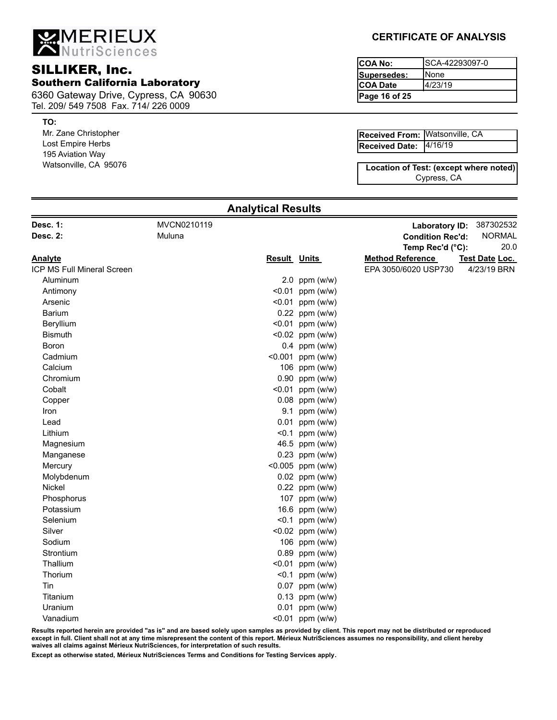MERIEUX

# **COA No:** COA No: **COA No:** COA No: Southern California Laboratory

6360 Gateway Drive, Cypress, CA 90630 Tel. 209/ 549 7508 Fax. 714/ 226 0009

### **TO:**

Mr. Zane Christopher Lost Empire Herbs 195 Aviation Way Watsonville, CA 95076

## **CERTIFICATE OF ANALYSIS**

**Page 16 of 25** SCA-42293097-0 None 4/23/19 **Supersedes: COA Date**

4/16/19 **Received From:** Watsonville, CA [120] **Received Date:**

Cypress, CA **Location of Test: (except where noted)**

| MVCN0210119<br><b>Laboratory ID:</b><br>Muluna<br><b>Condition Rec'd:</b><br>Temp Rec'd (°C):<br><b>Result Units</b><br><b>Method Reference</b><br>Test Date Loc.<br>EPA 3050/6020 USP730<br>Aluminum<br>2.0 ppm $(w/w)$<br>$< 0.01$ ppm (w/w)<br>Antimony<br>$< 0.01$ ppm (w/w)<br>Arsenic<br>Barium<br>$0.22$ ppm (w/w)<br>Beryllium<br>$< 0.01$ ppm (w/w)<br><b>Bismuth</b><br>$< 0.02$ ppm (w/w)<br>$0.4$ ppm (w/w)<br>Boron<br>Cadmium<br><0.001 ppm (w/w)<br>106 ppm (w/w)<br>Calcium<br>Chromium<br>$0.90$ ppm (w/w)<br>$< 0.01$ ppm (w/w)<br>Cobalt<br>$0.08$ ppm (w/w)<br>Copper<br>9.1 ppm (w/w)<br>Iron<br>$0.01$ ppm (w/w)<br>Lead<br><0.1 ppm $(w/w)$<br>Lithium<br>46.5 ppm (w/w)<br>Magnesium<br>$0.23$ ppm (w/w)<br>Manganese<br><0.005 ppm (w/w)<br>Mercury<br>Molybdenum<br>$0.02$ ppm (w/w)<br>$0.22$ ppm (w/w)<br>Nickel<br>107 ppm (w/w)<br>Phosphorus<br>16.6 ppm (w/w)<br>Potassium<br><0.1 ppm ( $w/w$ )<br>Selenium<br>Silver<br>$< 0.02$ ppm (w/w)<br>Sodium<br>106 ppm (w/w)<br>Strontium<br>$0.89$ ppm (w/w)<br>Thallium<br>$< 0.01$ ppm (w/w)<br>Thorium<br>$< 0.1$ ppm (w/w)<br>0.07 ppm (w/w)<br>Tin<br>$0.13$ ppm (w/w)<br>Titanium<br>Uranium<br>$0.01$ ppm (w/w)<br>Vanadium<br>$< 0.01$ ppm (w/w) |                            |  |  |               |
|--------------------------------------------------------------------------------------------------------------------------------------------------------------------------------------------------------------------------------------------------------------------------------------------------------------------------------------------------------------------------------------------------------------------------------------------------------------------------------------------------------------------------------------------------------------------------------------------------------------------------------------------------------------------------------------------------------------------------------------------------------------------------------------------------------------------------------------------------------------------------------------------------------------------------------------------------------------------------------------------------------------------------------------------------------------------------------------------------------------------------------------------------------------------------------------------------------------------------------------|----------------------------|--|--|---------------|
|                                                                                                                                                                                                                                                                                                                                                                                                                                                                                                                                                                                                                                                                                                                                                                                                                                                                                                                                                                                                                                                                                                                                                                                                                                      | Desc. 1:                   |  |  | 387302532     |
|                                                                                                                                                                                                                                                                                                                                                                                                                                                                                                                                                                                                                                                                                                                                                                                                                                                                                                                                                                                                                                                                                                                                                                                                                                      | <b>Desc. 2:</b>            |  |  | <b>NORMAL</b> |
|                                                                                                                                                                                                                                                                                                                                                                                                                                                                                                                                                                                                                                                                                                                                                                                                                                                                                                                                                                                                                                                                                                                                                                                                                                      |                            |  |  | 20.0          |
|                                                                                                                                                                                                                                                                                                                                                                                                                                                                                                                                                                                                                                                                                                                                                                                                                                                                                                                                                                                                                                                                                                                                                                                                                                      | <b>Analyte</b>             |  |  |               |
|                                                                                                                                                                                                                                                                                                                                                                                                                                                                                                                                                                                                                                                                                                                                                                                                                                                                                                                                                                                                                                                                                                                                                                                                                                      | ICP MS Full Mineral Screen |  |  | 4/23/19 BRN   |
|                                                                                                                                                                                                                                                                                                                                                                                                                                                                                                                                                                                                                                                                                                                                                                                                                                                                                                                                                                                                                                                                                                                                                                                                                                      |                            |  |  |               |
|                                                                                                                                                                                                                                                                                                                                                                                                                                                                                                                                                                                                                                                                                                                                                                                                                                                                                                                                                                                                                                                                                                                                                                                                                                      |                            |  |  |               |
|                                                                                                                                                                                                                                                                                                                                                                                                                                                                                                                                                                                                                                                                                                                                                                                                                                                                                                                                                                                                                                                                                                                                                                                                                                      |                            |  |  |               |
|                                                                                                                                                                                                                                                                                                                                                                                                                                                                                                                                                                                                                                                                                                                                                                                                                                                                                                                                                                                                                                                                                                                                                                                                                                      |                            |  |  |               |
|                                                                                                                                                                                                                                                                                                                                                                                                                                                                                                                                                                                                                                                                                                                                                                                                                                                                                                                                                                                                                                                                                                                                                                                                                                      |                            |  |  |               |
|                                                                                                                                                                                                                                                                                                                                                                                                                                                                                                                                                                                                                                                                                                                                                                                                                                                                                                                                                                                                                                                                                                                                                                                                                                      |                            |  |  |               |
|                                                                                                                                                                                                                                                                                                                                                                                                                                                                                                                                                                                                                                                                                                                                                                                                                                                                                                                                                                                                                                                                                                                                                                                                                                      |                            |  |  |               |
|                                                                                                                                                                                                                                                                                                                                                                                                                                                                                                                                                                                                                                                                                                                                                                                                                                                                                                                                                                                                                                                                                                                                                                                                                                      |                            |  |  |               |
|                                                                                                                                                                                                                                                                                                                                                                                                                                                                                                                                                                                                                                                                                                                                                                                                                                                                                                                                                                                                                                                                                                                                                                                                                                      |                            |  |  |               |
|                                                                                                                                                                                                                                                                                                                                                                                                                                                                                                                                                                                                                                                                                                                                                                                                                                                                                                                                                                                                                                                                                                                                                                                                                                      |                            |  |  |               |
|                                                                                                                                                                                                                                                                                                                                                                                                                                                                                                                                                                                                                                                                                                                                                                                                                                                                                                                                                                                                                                                                                                                                                                                                                                      |                            |  |  |               |
|                                                                                                                                                                                                                                                                                                                                                                                                                                                                                                                                                                                                                                                                                                                                                                                                                                                                                                                                                                                                                                                                                                                                                                                                                                      |                            |  |  |               |
|                                                                                                                                                                                                                                                                                                                                                                                                                                                                                                                                                                                                                                                                                                                                                                                                                                                                                                                                                                                                                                                                                                                                                                                                                                      |                            |  |  |               |
|                                                                                                                                                                                                                                                                                                                                                                                                                                                                                                                                                                                                                                                                                                                                                                                                                                                                                                                                                                                                                                                                                                                                                                                                                                      |                            |  |  |               |
|                                                                                                                                                                                                                                                                                                                                                                                                                                                                                                                                                                                                                                                                                                                                                                                                                                                                                                                                                                                                                                                                                                                                                                                                                                      |                            |  |  |               |
|                                                                                                                                                                                                                                                                                                                                                                                                                                                                                                                                                                                                                                                                                                                                                                                                                                                                                                                                                                                                                                                                                                                                                                                                                                      |                            |  |  |               |
|                                                                                                                                                                                                                                                                                                                                                                                                                                                                                                                                                                                                                                                                                                                                                                                                                                                                                                                                                                                                                                                                                                                                                                                                                                      |                            |  |  |               |
|                                                                                                                                                                                                                                                                                                                                                                                                                                                                                                                                                                                                                                                                                                                                                                                                                                                                                                                                                                                                                                                                                                                                                                                                                                      |                            |  |  |               |
|                                                                                                                                                                                                                                                                                                                                                                                                                                                                                                                                                                                                                                                                                                                                                                                                                                                                                                                                                                                                                                                                                                                                                                                                                                      |                            |  |  |               |
|                                                                                                                                                                                                                                                                                                                                                                                                                                                                                                                                                                                                                                                                                                                                                                                                                                                                                                                                                                                                                                                                                                                                                                                                                                      |                            |  |  |               |
|                                                                                                                                                                                                                                                                                                                                                                                                                                                                                                                                                                                                                                                                                                                                                                                                                                                                                                                                                                                                                                                                                                                                                                                                                                      |                            |  |  |               |
|                                                                                                                                                                                                                                                                                                                                                                                                                                                                                                                                                                                                                                                                                                                                                                                                                                                                                                                                                                                                                                                                                                                                                                                                                                      |                            |  |  |               |
|                                                                                                                                                                                                                                                                                                                                                                                                                                                                                                                                                                                                                                                                                                                                                                                                                                                                                                                                                                                                                                                                                                                                                                                                                                      |                            |  |  |               |
|                                                                                                                                                                                                                                                                                                                                                                                                                                                                                                                                                                                                                                                                                                                                                                                                                                                                                                                                                                                                                                                                                                                                                                                                                                      |                            |  |  |               |
|                                                                                                                                                                                                                                                                                                                                                                                                                                                                                                                                                                                                                                                                                                                                                                                                                                                                                                                                                                                                                                                                                                                                                                                                                                      |                            |  |  |               |
|                                                                                                                                                                                                                                                                                                                                                                                                                                                                                                                                                                                                                                                                                                                                                                                                                                                                                                                                                                                                                                                                                                                                                                                                                                      |                            |  |  |               |
|                                                                                                                                                                                                                                                                                                                                                                                                                                                                                                                                                                                                                                                                                                                                                                                                                                                                                                                                                                                                                                                                                                                                                                                                                                      |                            |  |  |               |
|                                                                                                                                                                                                                                                                                                                                                                                                                                                                                                                                                                                                                                                                                                                                                                                                                                                                                                                                                                                                                                                                                                                                                                                                                                      |                            |  |  |               |
|                                                                                                                                                                                                                                                                                                                                                                                                                                                                                                                                                                                                                                                                                                                                                                                                                                                                                                                                                                                                                                                                                                                                                                                                                                      |                            |  |  |               |
|                                                                                                                                                                                                                                                                                                                                                                                                                                                                                                                                                                                                                                                                                                                                                                                                                                                                                                                                                                                                                                                                                                                                                                                                                                      |                            |  |  |               |
|                                                                                                                                                                                                                                                                                                                                                                                                                                                                                                                                                                                                                                                                                                                                                                                                                                                                                                                                                                                                                                                                                                                                                                                                                                      |                            |  |  |               |
|                                                                                                                                                                                                                                                                                                                                                                                                                                                                                                                                                                                                                                                                                                                                                                                                                                                                                                                                                                                                                                                                                                                                                                                                                                      |                            |  |  |               |

**Analytical Results**

**Results reported herein are provided "as is" and are based solely upon samples as provided by client. This report may not be distributed or reproduced except in full. Client shall not at any time misrepresent the content of this report. Mérieux NutriSciences assumes no responsibility, and client hereby waives all claims against Mérieux NutriSciences, for interpretation of such results.**

**Except as otherwise stated, Mérieux NutriSciences Terms and Conditions for Testing Services apply.**